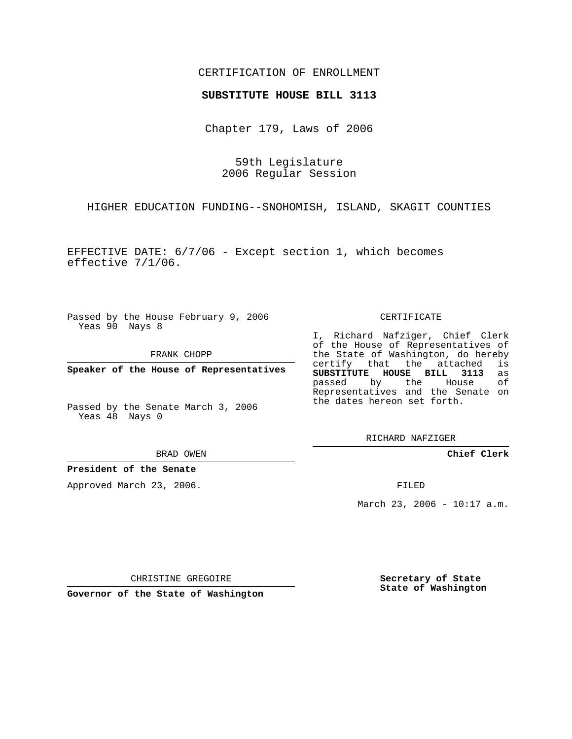## CERTIFICATION OF ENROLLMENT

### **SUBSTITUTE HOUSE BILL 3113**

Chapter 179, Laws of 2006

59th Legislature 2006 Regular Session

HIGHER EDUCATION FUNDING--SNOHOMISH, ISLAND, SKAGIT COUNTIES

EFFECTIVE DATE: 6/7/06 - Except section 1, which becomes effective 7/1/06.

Passed by the House February 9, 2006 Yeas 90 Nays 8

FRANK CHOPP

**Speaker of the House of Representatives**

Passed by the Senate March 3, 2006 Yeas 48 Nays 0

BRAD OWEN

#### **President of the Senate**

Approved March 23, 2006.

CERTIFICATE

I, Richard Nafziger, Chief Clerk of the House of Representatives of the State of Washington, do hereby<br>certify that the attached is certify that the attached **SUBSTITUTE HOUSE BILL 3113** as passed by the House of Representatives and the Senate on the dates hereon set forth.

RICHARD NAFZIGER

**Chief Clerk**

FILED

March 23, 2006 - 10:17 a.m.

CHRISTINE GREGOIRE

**Governor of the State of Washington**

**Secretary of State State of Washington**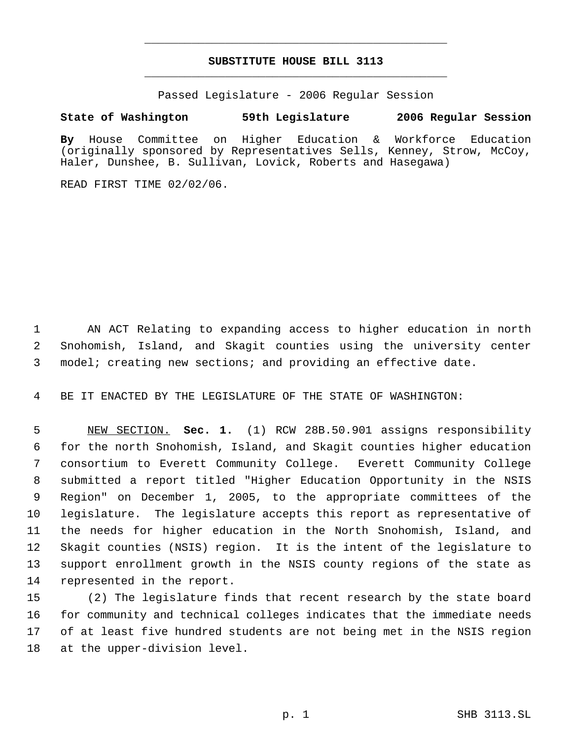# **SUBSTITUTE HOUSE BILL 3113** \_\_\_\_\_\_\_\_\_\_\_\_\_\_\_\_\_\_\_\_\_\_\_\_\_\_\_\_\_\_\_\_\_\_\_\_\_\_\_\_\_\_\_\_\_

\_\_\_\_\_\_\_\_\_\_\_\_\_\_\_\_\_\_\_\_\_\_\_\_\_\_\_\_\_\_\_\_\_\_\_\_\_\_\_\_\_\_\_\_\_

Passed Legislature - 2006 Regular Session

## **State of Washington 59th Legislature 2006 Regular Session**

**By** House Committee on Higher Education & Workforce Education (originally sponsored by Representatives Sells, Kenney, Strow, McCoy, Haler, Dunshee, B. Sullivan, Lovick, Roberts and Hasegawa)

READ FIRST TIME 02/02/06.

 AN ACT Relating to expanding access to higher education in north Snohomish, Island, and Skagit counties using the university center model; creating new sections; and providing an effective date.

BE IT ENACTED BY THE LEGISLATURE OF THE STATE OF WASHINGTON:

 NEW SECTION. **Sec. 1.** (1) RCW 28B.50.901 assigns responsibility for the north Snohomish, Island, and Skagit counties higher education consortium to Everett Community College. Everett Community College submitted a report titled "Higher Education Opportunity in the NSIS Region" on December 1, 2005, to the appropriate committees of the legislature. The legislature accepts this report as representative of the needs for higher education in the North Snohomish, Island, and Skagit counties (NSIS) region. It is the intent of the legislature to support enrollment growth in the NSIS county regions of the state as represented in the report.

 (2) The legislature finds that recent research by the state board for community and technical colleges indicates that the immediate needs of at least five hundred students are not being met in the NSIS region at the upper-division level.